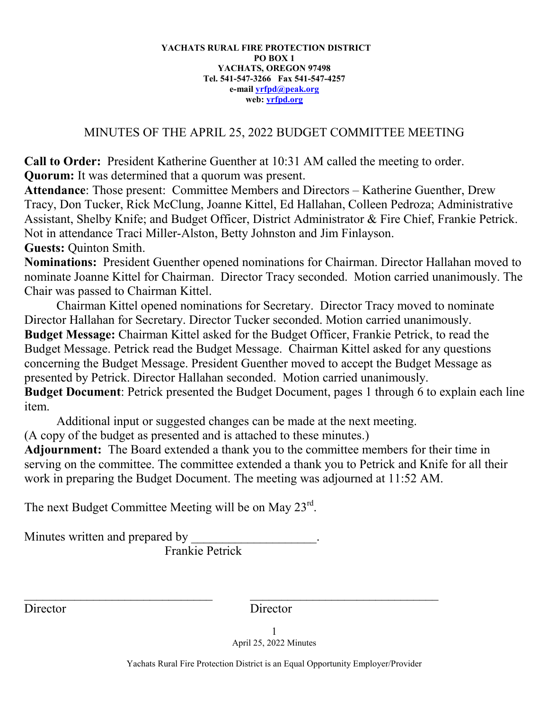## **YACHATS RURAL FIRE PROTECTION DISTRICT PO BOX 1 YACHATS, OREGON 97498 Tel. 541-547-3266 Fax 541-547-4257 e-mail [yrfpd@peak.org](mailto:yrfpd@peak.org) web: [yrfpd.org](http://www.yrfpd.org/)**

## MINUTES OF THE APRIL 25, 2022 BUDGET COMMITTEE MEETING

**Call to Order:** President Katherine Guenther at 10:31 AM called the meeting to order. **Quorum:** It was determined that a quorum was present.

**Attendance**: Those present: Committee Members and Directors – Katherine Guenther, Drew Tracy, Don Tucker, Rick McClung, Joanne Kittel, Ed Hallahan, Colleen Pedroza; Administrative Assistant, Shelby Knife; and Budget Officer, District Administrator & Fire Chief, Frankie Petrick. Not in attendance Traci Miller-Alston, Betty Johnston and Jim Finlayson.

**Guests:** Quinton Smith.

**Nominations:** President Guenther opened nominations for Chairman. Director Hallahan moved to nominate Joanne Kittel for Chairman. Director Tracy seconded. Motion carried unanimously. The Chair was passed to Chairman Kittel.

Chairman Kittel opened nominations for Secretary. Director Tracy moved to nominate Director Hallahan for Secretary. Director Tucker seconded. Motion carried unanimously. **Budget Message:** Chairman Kittel asked for the Budget Officer, Frankie Petrick, to read the Budget Message. Petrick read the Budget Message. Chairman Kittel asked for any questions concerning the Budget Message. President Guenther moved to accept the Budget Message as presented by Petrick. Director Hallahan seconded. Motion carried unanimously. **Budget Document**: Petrick presented the Budget Document, pages 1 through 6 to explain each line item.

Additional input or suggested changes can be made at the next meeting.

(A copy of the budget as presented and is attached to these minutes.)

**Adjournment:** The Board extended a thank you to the committee members for their time in serving on the committee. The committee extended a thank you to Petrick and Knife for all their work in preparing the Budget Document. The meeting was adjourned at 11:52 AM.

The next Budget Committee Meeting will be on May  $23<sup>rd</sup>$ .

Minutes written and prepared by

Frankie Petrick

\_\_\_\_\_\_\_\_\_\_\_\_\_\_\_\_\_\_\_\_\_\_\_\_\_\_\_\_\_\_ \_\_\_\_\_\_\_\_\_\_\_\_\_\_\_\_\_\_\_\_\_\_\_\_\_\_\_\_\_\_

Director Director

1 April 25, 2022 Minutes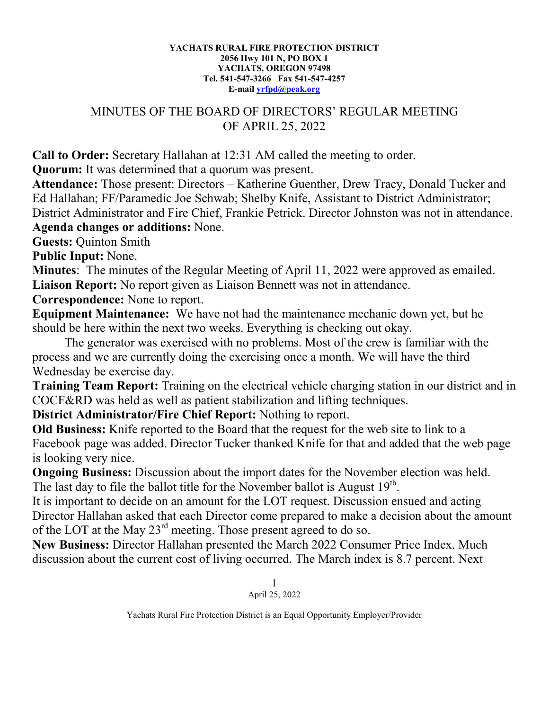## **YACHATS RURAL FIRE PROTECTION DISTRICT 2056 Hwy 101 N, PO BOX 1 YACHATS, OREGON 97498 Tel. 541-547-3266 Fax 541-547-4257 E-mail [yrfpd@peak.org](mailto:yrfpd@peak.org)**

## MINUTES OF THE BOARD OF DIRECTORS' REGULAR MEETING OF APRIL 25, 2022

**Call to Order:** Secretary Hallahan at 12:31 AM called the meeting to order.

**Quorum:** It was determined that a quorum was present.

**Attendance:** Those present: Directors – Katherine Guenther, Drew Tracy, Donald Tucker and Ed Hallahan; FF/Paramedic Joe Schwab; Shelby Knife, Assistant to District Administrator; District Administrator and Fire Chief, Frankie Petrick. Director Johnston was not in attendance. **Agenda changes or additions:** None.

**Guests:** Quinton Smith

**Public Input:** None.

**Minutes**: The minutes of the Regular Meeting of April 11, 2022 were approved as emailed. **Liaison Report:** No report given as Liaison Bennett was not in attendance.

**Correspondence:** None to report.

**Equipment Maintenance:** We have not had the maintenance mechanic down yet, but he should be here within the next two weeks. Everything is checking out okay.

The generator was exercised with no problems. Most of the crew is familiar with the process and we are currently doing the exercising once a month. We will have the third Wednesday be exercise day.

**Training Team Report:** Training on the electrical vehicle charging station in our district and in COCF&RD was held as well as patient stabilization and lifting techniques.

**District Administrator/Fire Chief Report:** Nothing to report.

**Old Business:** Knife reported to the Board that the request for the web site to link to a Facebook page was added. Director Tucker thanked Knife for that and added that the web page is looking very nice.

**Ongoing Business:** Discussion about the import dates for the November election was held. The last day to file the ballot title for the November ballot is August  $19<sup>th</sup>$ .

It is important to decide on an amount for the LOT request. Discussion ensued and acting Director Hallahan asked that each Director come prepared to make a decision about the amount of the LOT at the May 23rd meeting. Those present agreed to do so.

**New Business:** Director Hallahan presented the March 2022 Consumer Price Index. Much discussion about the current cost of living occurred. The March index is 8.7 percent. Next

> 1 April 25, 2022

Yachats Rural Fire Protection District is an Equal Opportunity Employer/Provider